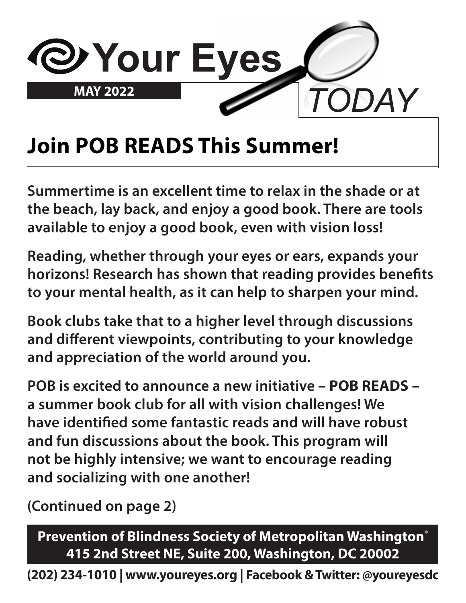

### **Join POB READS This Summer!**

**Summertime is an excellent time to relax in the shade or at the beach, lay back, and enjoy a good book. There are tools available to enjoy a good book, even with vision loss!** 

**Reading, whether through your eyes or ears, expands your horizons! Research has shown that reading provides benefits to your mental health, as it can help to sharpen your mind.**

**Book clubs take that to a higher level through discussions and different viewpoints, contributing to your knowledge and appreciation of the world around you.**

**POB is excited to announce a new initiative – POB READS – a summer book club for all with vision challenges! We have identified some fantastic reads and will have robust and fun discussions about the book. This program will not be highly intensive; we want to encourage reading and socializing with one another!**

**(Continued on page 2)**

**Prevention of Blindness Society of Metropolitan Washington® 415 2nd Street NE, Suite 200, Washington, DC 20002**

**(202) 234-1010 | www.youreyes.org | Facebook & Twitter: @youreyesdc**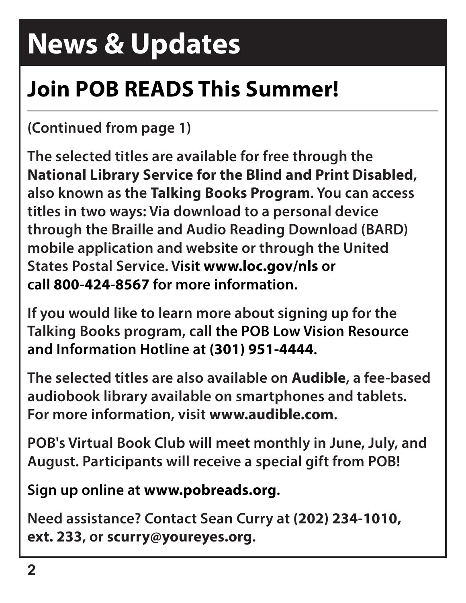## **News & Updates**

## **Join POB READS This Summer!**

#### **(Continued from page 1)**

**The selected titles are available for free through the National Library Service for the Blind and Print Disabled, also known as the Talking Books Program. You can access titles in two ways: Via download to a personal device through the Braille and Audio Reading Download (BARD) mobile application and website or through the United States Postal Service. Visit www.loc.gov/nls or call 800-424-8567 for more information.**

**If you would like to learn more about signing up for the Talking Books program, call the POB Low Vision Resource and Information Hotline at (301) 951-4444.**

**The selected titles are also available on Audible, a fee-based audiobook library available on smartphones and tablets. For more information, visit www.audible.com.**

**POB's Virtual Book Club will meet monthly in June, July, and August. Participants will receive a special gift from POB!**

**Sign up online at www.pobreads.org.**

**Need assistance? Contact Sean Curry at (202) 234-1010, ext. 233, or scurry@youreyes.org.**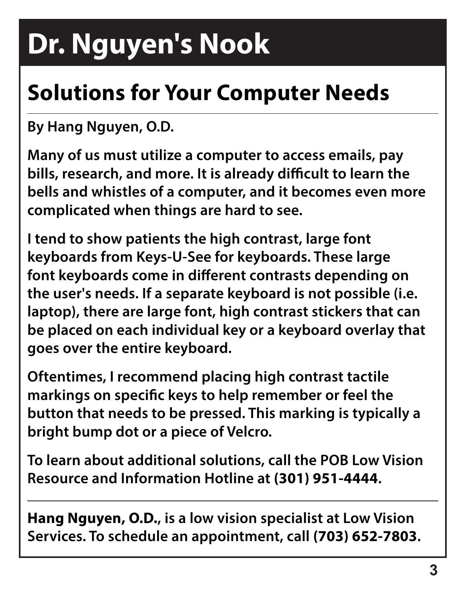## **Dr. Nguyen's Nook**

## **Solutions for Your Computer Needs**

**By Hang Nguyen, O.D.**

**Many of us must utilize a computer to access emails, pay bills, research, and more. It is already difficult to learn the bells and whistles of a computer, and it becomes even more complicated when things are hard to see.** 

**I tend to show patients the high contrast, large font keyboards from Keys-U-See for keyboards. These large font keyboards come in different contrasts depending on the user's needs. If a separate keyboard is not possible (i.e. laptop), there are large font, high contrast stickers that can be placed on each individual key or a keyboard overlay that goes over the entire keyboard.**

**Oftentimes, I recommend placing high contrast tactile markings on specific keys to help remember or feel the button that needs to be pressed. This marking is typically a bright bump dot or a piece of Velcro.**

**To learn about additional solutions, call the POB Low Vision Resource and Information Hotline at (301) 951-4444.**

**Hang Nguyen, O.D., is a low vision specialist at Low Vision Services. To schedule an appointment, call (703) 652-7803.**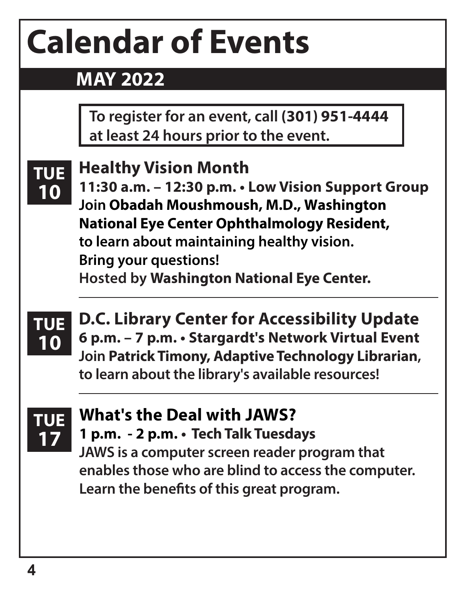# **Calendar of Events**

**Healthy Vision Month**

#### **MAY 2022**

**To register for an event, call (301) 951-4444 at least 24 hours prior to the event.**

#### **TUE 10**

**11:30 a.m. – 12:30 p.m. • Low Vision Support Group Join Obadah Moushmoush, M.D., Washington National Eye Center Ophthalmology Resident, to learn about maintaining healthy vision. Bring your questions! Hosted by Washington National Eye Center.**



**D.C. Library Center for Accessibility Update 6 p.m. – 7 p.m. • Stargardt's Network Virtual Event Join Patrick Timony, Adaptive Technology Librarian, to learn about the library's available resources!**



#### **What's the Deal with JAWS? 1 p.m. - 2 p.m. • Tech Talk Tuesdays**

**JAWS is a computer screen reader program that enables those who are blind to access the computer. Learn the benefits of this great program.**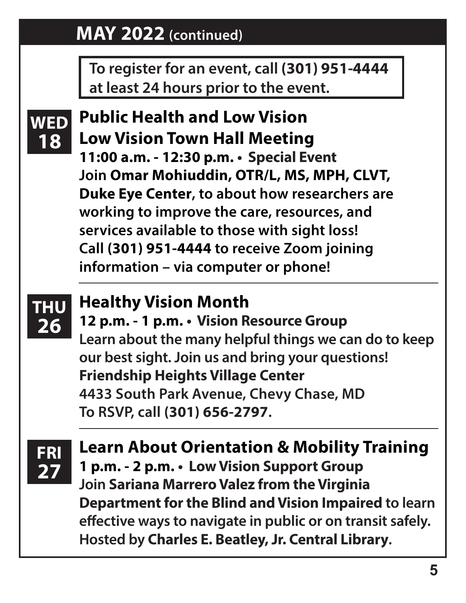#### **MAY 2022 (continued)**

**To register for an event, call (301) 951-4444 at least 24 hours prior to the event.**



**Public Health and Low Vision WED Low Vision Town Hall Meeting 11:00 a.m. - 12:30 p.m. • Special Event Join Omar Mohiuddin, OTR/L, MS, MPH, CLVT, Duke Eye Center, to about how researchers are working to improve the care, resources, and services available to those with sight loss! Call (301) 951-4444 to receive Zoom joining information – via computer or phone!**



#### **Healthy Vision Month**

**12 p.m. - 1 p.m. • Vision Resource Group Learn about the many helpful things we can do to keep our best sight. Join us and bring your questions! Friendship Heights Village Center 4433 South Park Avenue, Chevy Chase, MD To RSVP, call (301) 656-2797.**

**<sup>t</sup> FRI 27**

**Learn About Orientation & Mobility Training 1 p.m. - 2 p.m. • Low Vision Support Group Join Sariana Marrero Valez from the Virginia Department for the Blind and Vision Impaired to learn effective ways to navigate in public or on transit safely. Hosted by Charles E. Beatley, Jr. Central Library.**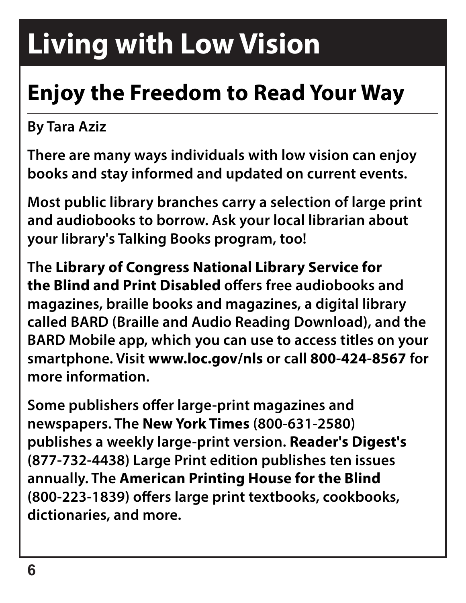## **Living with Low Vision**

## **Enjoy the Freedom to Read Your Way**

#### **By Tara Aziz**

**There are many ways individuals with low vision can enjoy books and stay informed and updated on current events.**

**Most public library branches carry a selection of large print and audiobooks to borrow. Ask your local librarian about your library's Talking Books program, too!**

**The Library of Congress National Library Service for the Blind and Print Disabled offers free audiobooks and magazines, braille books and magazines, a digital library called BARD (Braille and Audio Reading Download), and the BARD Mobile app, which you can use to access titles on your smartphone. Visit www.loc.gov/nls or call 800-424-8567 for more information.**

**Some publishers offer large-print magazines and newspapers. The New York Times (800-631-2580) publishes a weekly large-print version. Reader's Digest's (877-732-4438) Large Print edition publishes ten issues annually. The American Printing House for the Blind (800-223-1839) offers large print textbooks, cookbooks, dictionaries, and more.**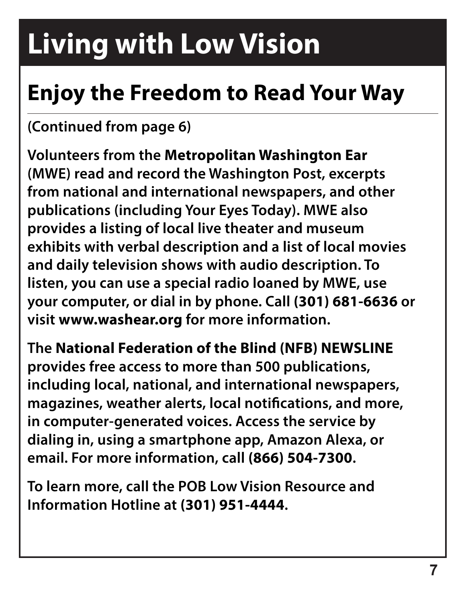## **Living with Low Vision**

### **Enjoy the Freedom to Read Your Way**

#### **(Continued from page 6)**

**Volunteers from the Metropolitan Washington Ear (MWE) read and record the Washington Post, excerpts from national and international newspapers, and other publications (including Your Eyes Today). MWE also provides a listing of local live theater and museum exhibits with verbal description and a list of local movies and daily television shows with audio description. To listen, you can use a special radio loaned by MWE, use your computer, or dial in by phone. Call (301) 681-6636 or visit www.washear.org for more information.**

**The National Federation of the Blind (NFB) NEWSLINE provides free access to more than 500 publications, including local, national, and international newspapers, magazines, weather alerts, local notifications, and more, in computer-generated voices. Access the service by dialing in, using a smartphone app, Amazon Alexa, or email. For more information, call (866) 504-7300.**

**To learn more, call the POB Low Vision Resource and Information Hotline at (301) 951-4444.**